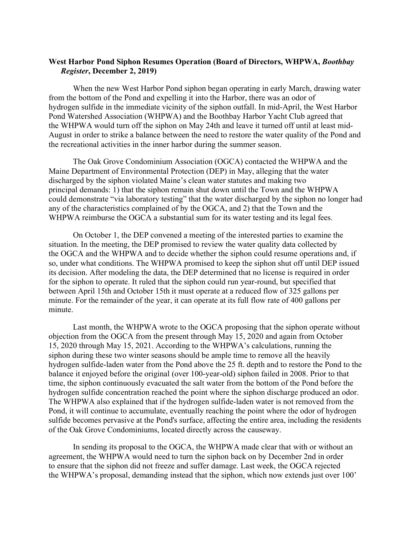## **West Harbor Pond Siphon Resumes Operation (Board of Directors, WHPWA,** *Boothbay Register***, December 2, 2019)**

When the new West Harbor Pond siphon began operating in early March, drawing water from the bottom of the Pond and expelling it into the Harbor, there was an odor of hydrogen sulfide in the immediate vicinity of the siphon outfall. In mid-April, the West Harbor Pond Watershed Association (WHPWA) and the Boothbay Harbor Yacht Club agreed that the WHPWA would turn off the siphon on May 24th and leave it turned off until at least mid-August in order to strike a balance between the need to restore the water quality of the Pond and the recreational activities in the inner harbor during the summer season.

The Oak Grove Condominium Association (OGCA) contacted the WHPWA and the Maine Department of Environmental Protection (DEP) in May, alleging that the water discharged by the siphon violated Maine's clean water statutes and making two principal demands: 1) that the siphon remain shut down until the Town and the WHPWA could demonstrate "via laboratory testing" that the water discharged by the siphon no longer had any of the characteristics complained of by the OGCA, and 2) that the Town and the WHPWA reimburse the OGCA a substantial sum for its water testing and its legal fees.

On October 1, the DEP convened a meeting of the interested parties to examine the situation. In the meeting, the DEP promised to review the water quality data collected by the OGCA and the WHPWA and to decide whether the siphon could resume operations and, if so, under what conditions. The WHPWA promised to keep the siphon shut off until DEP issued its decision. After modeling the data, the DEP determined that no license is required in order for the siphon to operate. It ruled that the siphon could run year-round, but specified that between April 15th and October 15th it must operate at a reduced flow of 325 gallons per minute. For the remainder of the year, it can operate at its full flow rate of 400 gallons per minute.

Last month, the WHPWA wrote to the OGCA proposing that the siphon operate without objection from the OGCA from the present through May 15, 2020 and again from October 15, 2020 through May 15, 2021. According to the WHPWA's calculations, running the siphon during these two winter seasons should be ample time to remove all the heavily hydrogen sulfide-laden water from the Pond above the 25 ft. depth and to restore the Pond to the balance it enjoyed before the original (over 100-year-old) siphon failed in 2008. Prior to that time, the siphon continuously evacuated the salt water from the bottom of the Pond before the hydrogen sulfide concentration reached the point where the siphon discharge produced an odor. The WHPWA also explained that if the hydrogen sulfide-laden water is not removed from the Pond, it will continue to accumulate, eventually reaching the point where the odor of hydrogen sulfide becomes pervasive at the Pond's surface, affecting the entire area, including the residents of the Oak Grove Condominiums, located directly across the causeway.

In sending its proposal to the OGCA, the WHPWA made clear that with or without an agreement, the WHPWA would need to turn the siphon back on by December 2nd in order to ensure that the siphon did not freeze and suffer damage. Last week, the OGCA rejected the WHPWA's proposal, demanding instead that the siphon, which now extends just over 100'